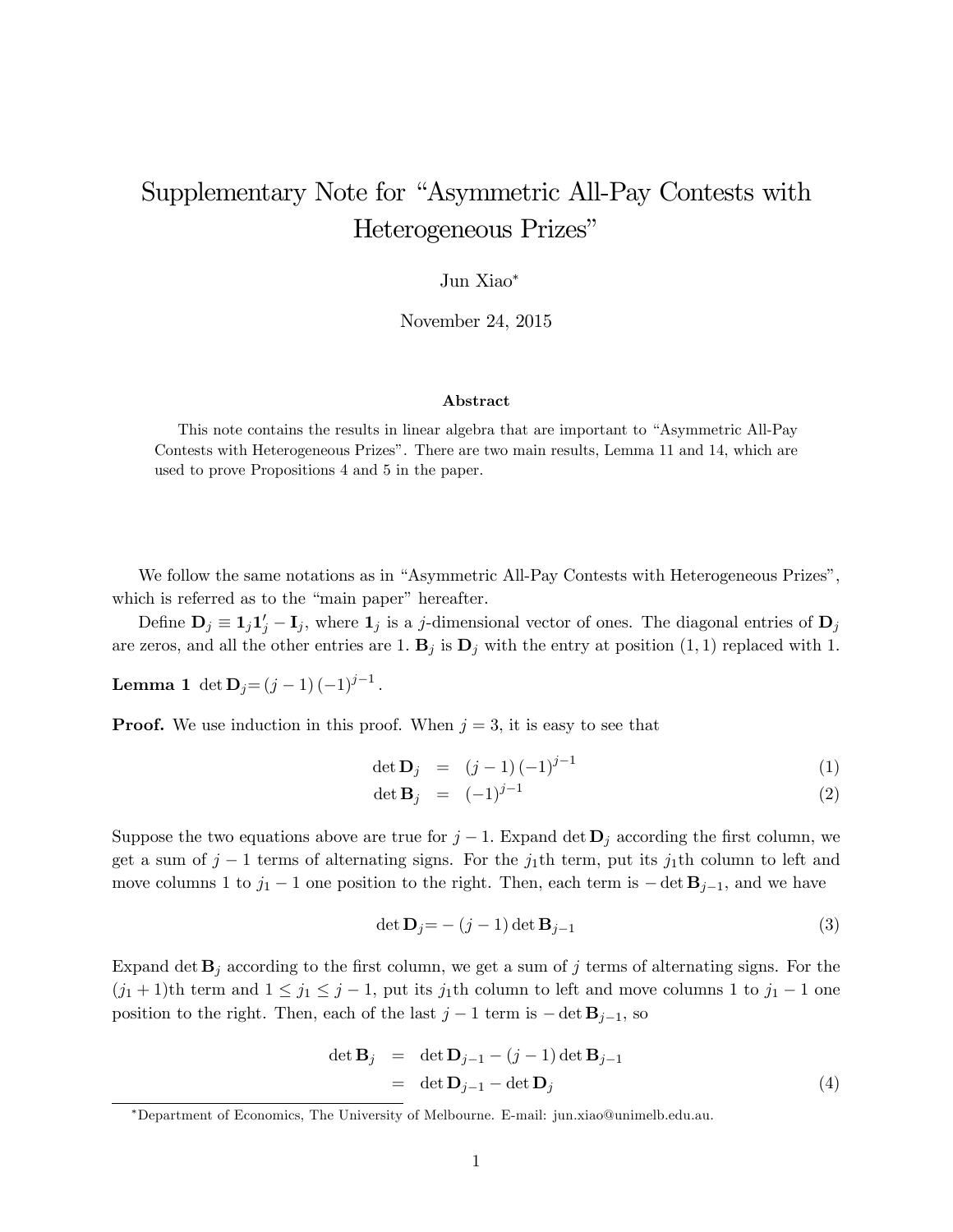## Supplementary Note for "Asymmetric All-Pay Contests with Heterogeneous Prizes"

Jun Xiao

November 24, 2015

## Abstract

This note contains the results in linear algebra that are important to "Asymmetric All-Pay" Contests with Heterogeneous Prizesî. There are two main results, Lemma 11 and 14, which are used to prove Propositions 4 and 5 in the paper.

We follow the same notations as in "Asymmetric All-Pay Contests with Heterogeneous Prizes", which is referred as to the "main paper" hereafter.

Define  $\mathbf{D}_j \equiv \mathbf{1}_j \mathbf{1}'_j - \mathbf{I}_j$ , where  $\mathbf{1}_j$  is a j-dimensional vector of ones. The diagonal entries of  $\mathbf{D}_j$ are zeros, and all the other entries are 1.  $\mathbf{B}_j$  is  $\mathbf{D}_j$  with the entry at position  $(1, 1)$  replaced with 1.

**Lemma 1** det  $D_j = (j - 1)(-1)^{j-1}$ .

**Proof.** We use induction in this proof. When  $j = 3$ , it is easy to see that

$$
\det \mathbf{D}_j = (j-1)(-1)^{j-1} \tag{1}
$$

$$
\det \mathbf{B}_j = (-1)^{j-1} \tag{2}
$$

Suppose the two equations above are true for  $j-1$ . Expand det  $\mathbf{D}_j$  according the first column, we get a sum of  $j-1$  terms of alternating signs. For the  $j_1$ th term, put its  $j_1$ th column to left and move columns 1 to  $j_1 - 1$  one position to the right. Then, each term is  $-\det \mathbf{B}_{j-1}$ , and we have

$$
\det \mathbf{D}_j = - (j-1) \det \mathbf{B}_{j-1}
$$
\n(3)

Expand det  $\mathbf{B}_j$  according to the first column, we get a sum of j terms of alternating signs. For the  $(j_1 + 1)$ th term and  $1 \leq j_1 \leq j - 1$ , put its  $j_1$ th column to left and move columns 1 to  $j_1 - 1$  one position to the right. Then, each of the last  $j-1$  term is  $-\det \mathbf{B}_{j-1}$ , so

$$
\det \mathbf{B}_{j} = \det \mathbf{D}_{j-1} - (j-1) \det \mathbf{B}_{j-1}
$$
  
= \det \mathbf{D}\_{j-1} - \det \mathbf{D}\_{j} (4)

Department of Economics, The University of Melbourne. E-mail: jun.xiao@unimelb.edu.au.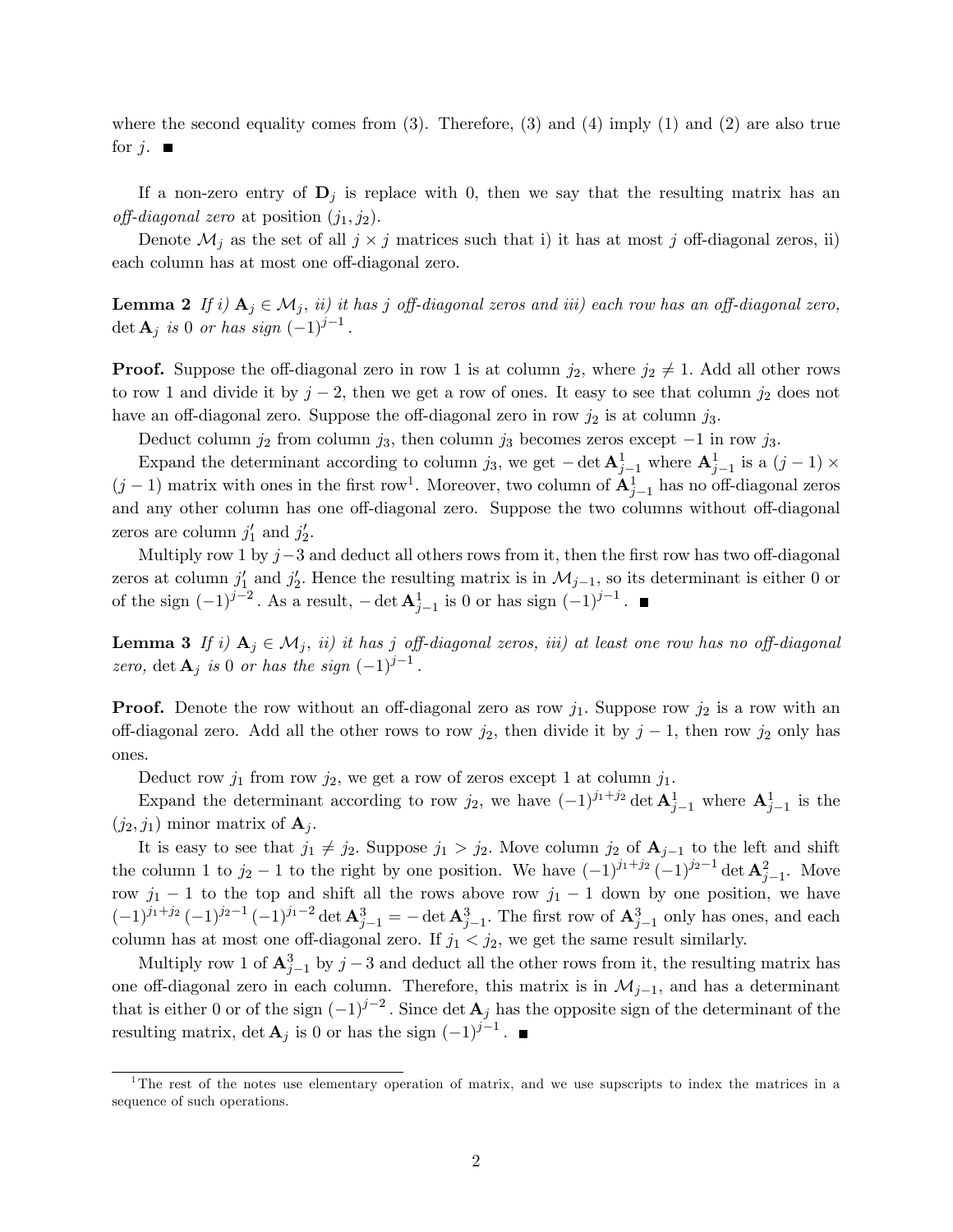where the second equality comes from  $(3)$ . Therefore,  $(3)$  and  $(4)$  imply  $(1)$  and  $(2)$  are also true for  $j$ .

If a non-zero entry of  $D_i$  is replace with 0, then we say that the resulting matrix has an off-diagonal zero at position  $(j_1, j_2)$ .

Denote  $\mathcal{M}_j$  as the set of all  $j \times j$  matrices such that i) it has at most j off-diagonal zeros, ii) each column has at most one off-diagonal zero.

**Lemma 2** If i)  $A_j \in \mathcal{M}_j$ , ii) it has j off-diagonal zeros and iii) each row has an off-diagonal zero, det  $\mathbf{A}_j$  is 0 or has sign  $(-1)^{j-1}$ .

**Proof.** Suppose the off-diagonal zero in row 1 is at column  $j_2$ , where  $j_2 \neq 1$ . Add all other rows to row 1 and divide it by  $j-2$ , then we get a row of ones. It easy to see that column  $j_2$  does not have an off-diagonal zero. Suppose the off-diagonal zero in row  $j_2$  is at column  $j_3$ .

Deduct column  $j_2$  from column  $j_3$ , then column  $j_3$  becomes zeros except  $-1$  in row  $j_3$ .

Expand the determinant according to column j<sub>3</sub>, we get  $-\det \mathbf{A}_{j-1}^1$  where  $\mathbf{A}_{j-1}^1$  is a  $(j-1) \times$  $(j-1)$  matrix with ones in the first row<sup>1</sup>. Moreover, two column of  $\mathbf{A}_{j-1}^1$  has no off-diagonal zeros and any other column has one off-diagonal zero. Suppose the two columns without off-diagonal zeros are column  $j'_1$  and  $j'_2$ .

Multiply row 1 by  $j-3$  and deduct all others rows from it, then the first row has two off-diagonal zeros at column  $j'_1$  and  $j'_2$ . Hence the resulting matrix is in  $\mathcal{M}_{j-1}$ , so its determinant is either 0 or of the sign  $(-1)^{j-2}$ . As a result,  $-\det \mathbf{A}_{j-1}^1$  is 0 or has sign  $(-1)^{j-1}$ .

**Lemma 3** If i)  $A_j \in \mathcal{M}_j$ , ii) it has j off-diagonal zeros, iii) at least one row has no off-diagonal zero, det  $\mathbf{A}_j$  is 0 or has the sign  $(-1)^{j-1}$ .

**Proof.** Denote the row without an off-diagonal zero as row  $j_1$ . Suppose row  $j_2$  is a row with an off-diagonal zero. Add all the other rows to row  $j_2$ , then divide it by  $j-1$ , then row  $j_2$  only has ones.

Deduct row  $j_1$  from row  $j_2$ , we get a row of zeros except 1 at column  $j_1$ .

Expand the determinant according to row  $j_2$ , we have  $(-1)^{j_1+j_2}$  det  $\mathbf{A}_{j-1}^1$  where  $\mathbf{A}_{j-1}^1$  is the  $(j_2, j_1)$  minor matrix of  $\mathbf{A}_i$ .

It is easy to see that  $j_1 \neq j_2$ . Suppose  $j_1 > j_2$ . Move column  $j_2$  of  $\mathbf{A}_{j-1}$  to the left and shift the column 1 to  $j_2-1$  to the right by one position. We have  $(-1)^{j_1+j_2}(-1)^{j_2-1} \det \mathbf{A}_{j-1}^2$ . Move row  $j_1 - 1$  to the top and shift all the rows above row  $j_1 - 1$  down by one position, we have  $(-1)^{j_1+j_2}(-1)^{j_2-1}(-1)^{j_1-2}\det A_{j-1}^3 = -\det A_{j-1}^3$ . The first row of  $A_{j-1}^3$  only has ones, and each column has at most one off-diagonal zero. If  $j_1 < j_2$ , we get the same result similarly.

Multiply row 1 of  $\mathbf{A}_{j-1}^3$  by  $j-3$  and deduct all the other rows from it, the resulting matrix has one off-diagonal zero in each column. Therefore, this matrix is in  $\mathcal{M}_{j-1}$ , and has a determinant that is either 0 or of the sign  $(-1)^{j-2}$ . Since det  $\mathbf{A}_j$  has the opposite sign of the determinant of the resulting matrix, det  $\mathbf{A}_j$  is 0 or has the sign  $(-1)^{j-1}$ .

<sup>1</sup>The rest of the notes use elementary operation of matrix, and we use supscripts to index the matrices in a sequence of such operations.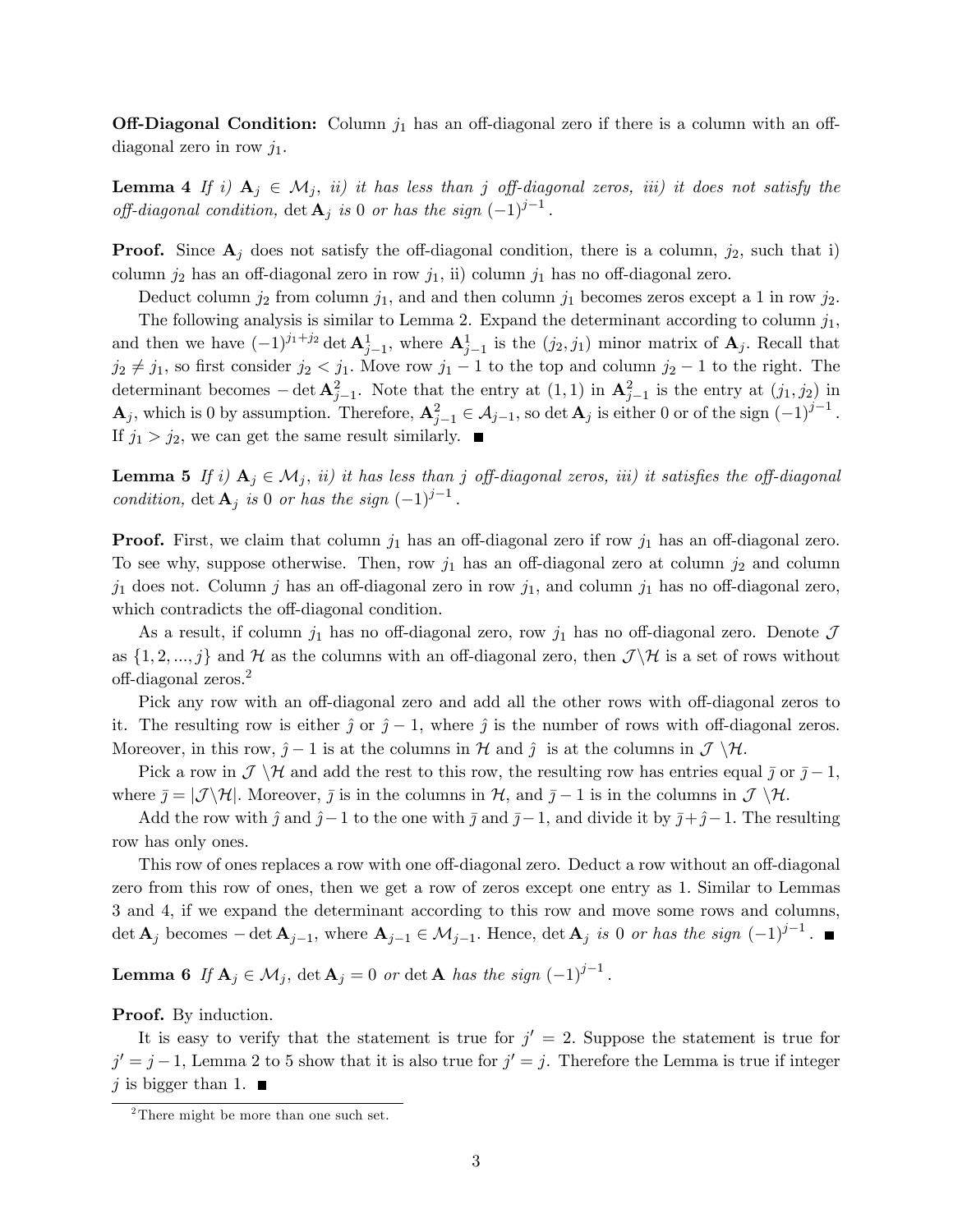**Off-Diagonal Condition:** Column  $j_1$  has an off-diagonal zero if there is a column with an offdiagonal zero in row  $j_1$ .

**Lemma 4** If i)  $A_j \in \mathcal{M}_j$ , ii) it has less than j off-diagonal zeros, iii) it does not satisfy the off-diagonal condition,  $\det \mathbf{A}_j$  is 0 or has the sign  $(-1)^{j-1}$ .

**Proof.** Since  $A_j$  does not satisfy the off-diagonal condition, there is a column,  $j_2$ , such that i) column  $j_2$  has an off-diagonal zero in row  $j_1$ , ii) column  $j_1$  has no off-diagonal zero.

Deduct column  $j_2$  from column  $j_1$ , and and then column  $j_1$  becomes zeros except a 1 in row  $j_2$ .

The following analysis is similar to Lemma 2. Expand the determinant according to column  $j_1$ , and then we have  $(-1)^{j_1+j_2} \det \mathbf{A}_{j-1}^1$ , where  $\mathbf{A}_{j-1}^1$  is the  $(j_2, j_1)$  minor matrix of  $\mathbf{A}_j$ . Recall that  $j_2 \neq j_1$ , so first consider  $j_2 < j_1$ . Move row  $j_1 - 1$  to the top and column  $j_2 - 1$  to the right. The determinant becomes  $-\det \mathbf{A}_{j-1}^2$ . Note that the entry at  $(1,1)$  in  $\mathbf{A}_{j-1}^2$  is the entry at  $(j_1, j_2)$  in  $\mathbf{A}_j$ , which is 0 by assumption. Therefore,  $\mathbf{A}_{j-1}^2 \in \mathcal{A}_{j-1}$ , so det  $\mathbf{A}_j$  is either 0 or of the sign  $(-1)^{j-1}$ . If  $j_1 > j_2$ , we can get the same result similarly.

**Lemma 5** If i)  $A_j \in \mathcal{M}_j$ , ii) it has less than j off-diagonal zeros, iii) it satisfies the off-diagonal condition, det  $\mathbf{A}_j$  is 0 or has the sign  $(-1)^{j-1}$ :

**Proof.** First, we claim that column  $j_1$  has an off-diagonal zero if row  $j_1$  has an off-diagonal zero. To see why, suppose otherwise. Then, row  $j_1$  has an off-diagonal zero at column  $j_2$  and column  $j_1$  does not. Column j has an off-diagonal zero in row  $j_1$ , and column  $j_1$  has no off-diagonal zero, which contradicts the off-diagonal condition.

As a result, if column  $j_1$  has no off-diagonal zero, row  $j_1$  has no off-diagonal zero. Denote  $\mathcal J$ as  $\{1, 2, ..., j\}$  and H as the columns with an off-diagonal zero, then  $\mathcal{J}\setminus\mathcal{H}$  is a set of rows without off-diagonal zeros.<sup>2</sup>

Pick any row with an off-diagonal zero and add all the other rows with off-diagonal zeros to it. The resulting row is either  $\hat{j}$  or  $\hat{j} - 1$ , where  $\hat{j}$  is the number of rows with off-diagonal zeros. Moreover, in this row,  $\hat{j} - 1$  is at the columns in  $\mathcal{H}$  and  $\hat{j}$  is at the columns in  $\mathcal{J} \setminus \mathcal{H}$ .

Pick a row in  $\mathcal{J} \setminus \mathcal{H}$  and add the rest to this row, the resulting row has entries equal  $\bar{j}$  or  $\bar{j} - 1$ , where  $\bar{j} = |\mathcal{J}\rangle \mathcal{H}|$ . Moreover,  $\bar{j}$  is in the columns in  $\mathcal{H}$ , and  $\bar{j} - 1$  is in the columns in  $\mathcal{J}\setminus\mathcal{H}$ .

Add the row with  $\hat{j}$  and  $\hat{j} - 1$  to the one with  $\bar{j}$  and  $\bar{j} - 1$ , and divide it by  $\bar{j} + \hat{j} - 1$ . The resulting row has only ones.

This row of ones replaces a row with one off-diagonal zero. Deduct a row without an off-diagonal zero from this row of ones, then we get a row of zeros except one entry as 1: Similar to Lemmas 3 and 4, if we expand the determinant according to this row and move some rows and columns, det  $\mathbf{A}_j$  becomes  $-\det \mathbf{A}_{j-1}$ , where  $\mathbf{A}_{j-1} \in \mathcal{M}_{j-1}$ . Hence,  $\det \mathbf{A}_j$  is 0 or has the sign  $(-1)^{j-1}$ .

**Lemma 6** If  $\mathbf{A}_j \in \mathcal{M}_j$ ,  $\det \mathbf{A}_j = 0$  or  $\det \mathbf{A}$  has the sign  $(-1)^{j-1}$ .

Proof. By induction.

It is easy to verify that the statement is true for  $j' = 2$ . Suppose the statement is true for  $j' = j - 1$ , Lemma 2 to 5 show that it is also true for  $j' = j$ . Therefore the Lemma is true if integer j is bigger than 1.  $\blacksquare$ 

<sup>&</sup>lt;sup>2</sup>There might be more than one such set.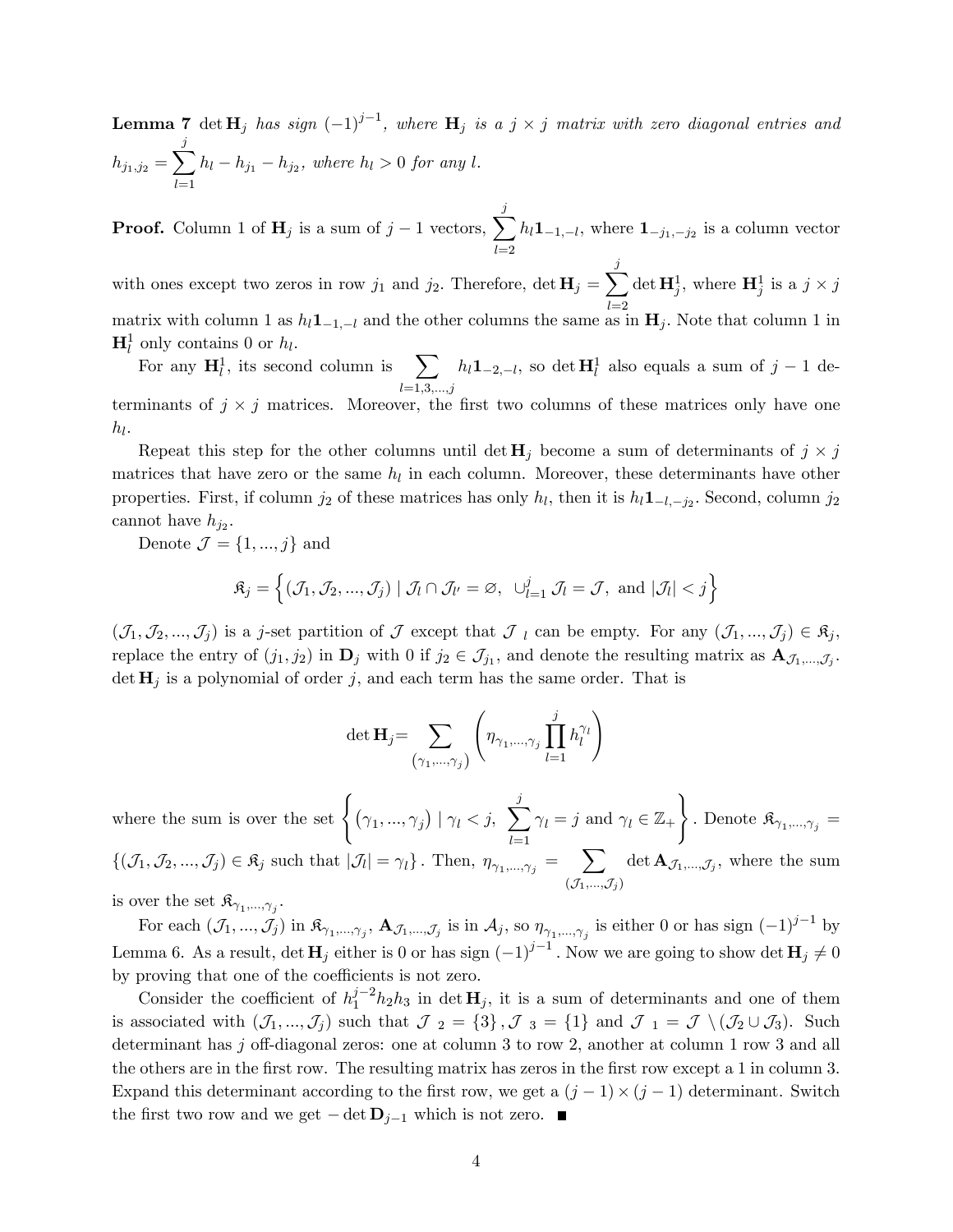**Lemma 7** det  $\mathbf{H}_j$  has sign  $(-1)^{j-1}$ , where  $\mathbf{H}_j$  is a  $j \times j$  matrix with zero diagonal entries and  $h_{j_1, j_2} = \sum_j^j$  $_{l=1}$  $h_l - h_{j_1} - h_{j_2}$ , where  $h_l > 0$  for any l.

**Proof.** Column 1 of  $\mathbf{H}_j$  is a sum of  $j-1$  vectors,  $\sum_j^j$  $_{l=2}$  $h_l \mathbf{1}_{-1,-l}$ , where  $\mathbf{1}_{-j_1,-j_2}$  is a column vector

with ones except two zeros in row  $j_1$  and  $j_2$ . Therefore,  $\det \mathbf{H}_j = \sum_j^j$ matrix with column 1 as  $h_l \mathbf{1}_{-1,-l}$  and the other columns the same as in  $\mathbf{H}_j$ . Note that column 1 in det  $\mathbf{H}_j^1$ , where  $\mathbf{H}_j^1$  is a  $j \times j$  $\mathbf{H}_l^1$  only contains 0 or  $h_l$ .

For any  $H_l^1$ , its second column is  $\sum$  $_{l=1,3,...,j}$  $h_l \mathbf{1}_{-2,-l}$ , so det  $\mathbf{H}_l^1$  also equals a sum of  $j-1$  determinants of  $j \times j$  matrices. Moreover, the first two columns of these matrices only have one  $h_l$ .

Repeat this step for the other columns until  $\det \mathbf{H}_j$  become a sum of determinants of  $j \times j$ matrices that have zero or the same  $h_l$  in each column. Moreover, these determinants have other properties. First, if column  $j_2$  of these matrices has only  $h_l$ , then it is  $h_l \mathbf{1}_{-l,-j_2}$ . Second, column  $j_2$ cannot have  $h_{j_2}$ .

Denote  $\mathcal{J} = \{1, ..., j\}$  and

$$
\mathfrak{K}_j = \left\{ (\mathcal{J}_1, \mathcal{J}_2, ..., \mathcal{J}_j) \mid \mathcal{J}_l \cap \mathcal{J}_{l'} = \varnothing, \ \cup_{l=1}^j \mathcal{J}_l = \mathcal{J}, \text{ and } |\mathcal{J}_l| < j \right\}
$$

 $(\mathcal{J}_1,\mathcal{J}_2,...,\mathcal{J}_j)$  is a j-set partition of  $\mathcal J$  except that  $\mathcal J_l$  can be empty. For any  $(\mathcal{J}_1,...,\mathcal{J}_j) \in \mathfrak{K}_j$ , replace the entry of  $(j_1, j_2)$  in  $\mathbf{D}_j$  with 0 if  $j_2 \in \mathcal{J}_{j_1}$ , and denote the resulting matrix as  $\mathbf{A}_{\mathcal{J}_1,...,\mathcal{J}_j}$ .  $\det \mathbf{H}_i$  is a polynomial of order j, and each term has the same order. That is

$$
\det \mathbf{H}_j = \sum_{\left(\gamma_1, \dots, \gamma_j\right)} \left(\eta_{\gamma_1, \dots, \gamma_j} \prod_{l=1}^j h_l^{\gamma_l}\right)
$$

where the sum is over the set  $\left\{ (\gamma_1,...,\gamma_j) \mid \gamma_l < j, \sum_{i=1}^j \gamma_i \right\}$  $_{l=1}$  $\gamma_l = j$  and  $\gamma_l \in \mathbb{Z}_+$  $\mathcal{L}$ . Denote  $\mathfrak{K}_{\gamma_1,\dots,\gamma_j} =$  $\{(\mathcal{J}_1, \mathcal{J}_2, ..., \mathcal{J}_j) \in \mathfrak{K}_j \text{ such that } |\mathcal{J}_l| = \gamma_l\}$ . Then,  $\eta_{\gamma_1, ..., \gamma_j} = \sum_{l=1}^{N}$  $(\mathcal{J}_1,...,\mathcal{J}_j)$ det  $\mathbf{A}_{\mathcal{J}_1,...,\mathcal{J}_j}$ , where the sum

is over the set  $\mathfrak{K}_{\gamma_1,\dots,\gamma_j}$ .

For each  $(\mathcal{J}_1, ..., \mathcal{J}_j)$  in  $\mathfrak{K}_{\gamma_1, ..., \gamma_j}$ ,  $\mathbf{A}_{\mathcal{J}_1, ..., \mathcal{J}_j}$  is in  $\mathcal{A}_j$ , so  $\eta_{\gamma_1, ..., \gamma_j}$  is either 0 or has sign  $(-1)^{j-1}$  by Lemma 6. As a result, det  $\mathbf{H}_j$  either is 0 or has sign  $(-1)^{j-1}$ . Now we are going to show det  $\mathbf{H}_j \neq 0$ by proving that one of the coefficients is not zero.

Consider the coefficient of  $h_1^{j-2}h_2h_3$  in det  $\mathbf{H}_j$ , it is a sum of determinants and one of them is associated with  $(\mathcal{J}_1, ..., \mathcal{J}_j)$  such that  $\mathcal{J}_2 = \{3\}$ ,  $\mathcal{J}_3 = \{1\}$  and  $\mathcal{J}_1 = \mathcal{J} \setminus (\mathcal{J}_2 \cup \mathcal{J}_3)$ . Such determinant has j off-diagonal zeros: one at column 3 to row 2, another at column 1 row 3 and all the others are in the first row. The resulting matrix has zeros in the first row except a 1 in column 3. Expand this determinant according to the first row, we get a  $(j - 1) \times (j - 1)$  determinant. Switch the first two row and we get  $-\det \mathbf{D}_{j-1}$  which is not zero.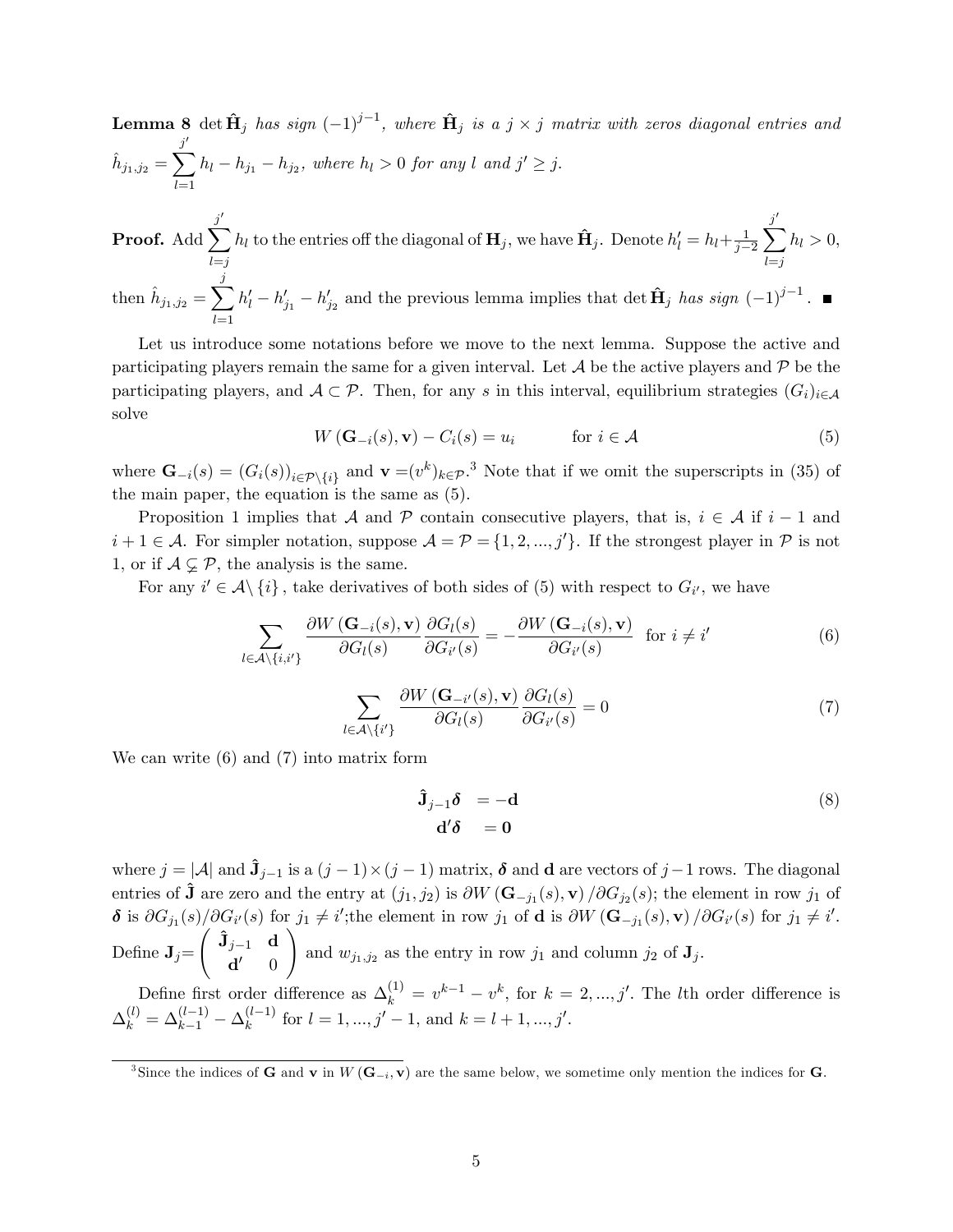**Lemma 8** det  $\mathbf{\hat{H}}_j$  has sign  $(-1)^{j-1}$ , where  $\mathbf{\hat{H}}_j$  is a  $j \times j$  matrix with zeros diagonal entries and  $\hat{h}_{j_1, j_2} =$  $\sum^j$  $_{l=1}$  $h_l - h_{j_1} - h_{j_2}$ , where  $h_l > 0$  for any l and  $j' \geq j$ .

Proof. Add  $\sum^j$  $_{l=j}$  $h_l$  to the entries off the diagonal of  $\mathbf{H}_j$ , we have  $\hat{\mathbf{H}}_j$ . Denote  $h'_l = h_l + \frac{1}{j-1}$  $j-2$  $\sum^j$  $_{l=j}$  $h_l > 0$ , then  $\hat{h}_{j_1,j_2} = \sum_jj$  $_{l=1}$  $h'_l - h'_{j_1} - h'_{j_2}$  and the previous lemma implies that det  $\hat{\mathbf{H}}_j$  has sign  $(-1)^{j-1}$ .

Let us introduce some notations before we move to the next lemma. Suppose the active and participating players remain the same for a given interval. Let  $\mathcal A$  be the active players and  $\mathcal P$  be the participating players, and  $A \subset \mathcal{P}$ . Then, for any s in this interval, equilibrium strategies  $(G_i)_{i\in\mathcal{A}}$ solve

$$
W\left(\mathbf{G}_{-i}(s), \mathbf{v}\right) - C_i(s) = u_i \qquad \text{for } i \in \mathcal{A}
$$
 (5)

where  $\mathbf{G}_{-i}(s) = (G_i(s))_{i \in \mathcal{P} \setminus \{i\}}$  and  $\mathbf{v} = (v^k)_{k \in \mathcal{P}}^3$ . Note that if we omit the superscripts in (35) of the main paper, the equation is the same as (5).

Proposition 1 implies that A and P contain consecutive players, that is,  $i \in A$  if  $i - 1$  and  $i+1 \in \mathcal{A}$ . For simpler notation, suppose  $\mathcal{A} = \mathcal{P} = \{1, 2, ..., j'\}$ . If the strongest player in  $\mathcal P$  is not 1, or if  $A \subsetneq P$ , the analysis is the same.

For any  $i' \in \mathcal{A} \setminus \{i\}$ , take derivatives of both sides of (5) with respect to  $G_{i'}$ , we have

$$
\sum_{l \in A \setminus \{i, i'\}} \frac{\partial W(\mathbf{G}_{-i}(s), \mathbf{v})}{\partial G_l(s)} \frac{\partial G_l(s)}{\partial G_{i'}(s)} = -\frac{\partial W(\mathbf{G}_{-i}(s), \mathbf{v})}{\partial G_{i'}(s)} \text{ for } i \neq i' \tag{6}
$$

$$
\sum_{l \in \mathcal{A} \setminus \{i'\}} \frac{\partial W(\mathbf{G}_{-i'}(s), \mathbf{v})}{\partial G_l(s)} \frac{\partial G_l(s)}{\partial G_{i'}(s)} = 0 \tag{7}
$$

We can write (6) and (7) into matrix form

$$
\hat{\mathbf{J}}_{j-1}\boldsymbol{\delta} = -\mathbf{d} \tag{8}
$$
\n
$$
\mathbf{d}'\boldsymbol{\delta} = \mathbf{0}
$$

where  $j = |A|$  and  $\hat{\mathbf{J}}_{j-1}$  is a  $(j - 1) \times (j - 1)$  matrix,  $\boldsymbol{\delta}$  and d are vectors of  $j-1$  rows. The diagonal entries of  $\hat{\mathbf{J}}$  are zero and the entry at  $(j_1, j_2)$  is  $\partial W (\mathbf{G}_{-j_1}(s), \mathbf{v}) / \partial G_{j_2}(s)$ ; the element in row  $j_1$  of  $\delta$  is  $\partial G_{j_1}(s)/\partial G_{i'}(s)$  for  $j_1 \neq i'$ ; the element in row  $j_1$  of **d** is  $\partial W(\mathbf{G}_{-j_1}(s), \mathbf{v})/\partial G_{i'}(s)$  for  $j_1 \neq i'$ . Define  $\mathbf{J}_j$ =  $\int \hat{\mathbf{J}}_{j-1} \ \ \mathbf{d}$  $\mathbf{d}' = 0$ ! and  $w_{j_1,j_2}$  as the entry in row  $j_1$  and column  $j_2$  of  $\mathbf{J}_j$ .

Define first order difference as  $\Delta_k^{(1)} = v^{k-1} - v^k$ , for  $k = 2, ..., j'$ . The *l*th order difference is  $\Delta_k^{(l)} = \Delta_{k-1}^{(l-1)} - \Delta_k^{(l-1)}$  for  $l = 1, ..., j' - 1$ , and  $k = l + 1, ..., j'$ .

<sup>&</sup>lt;sup>3</sup>Since the indices of **G** and **v** in  $W(\mathbf{G}_{-i}, \mathbf{v})$  are the same below, we sometime only mention the indices for **G**.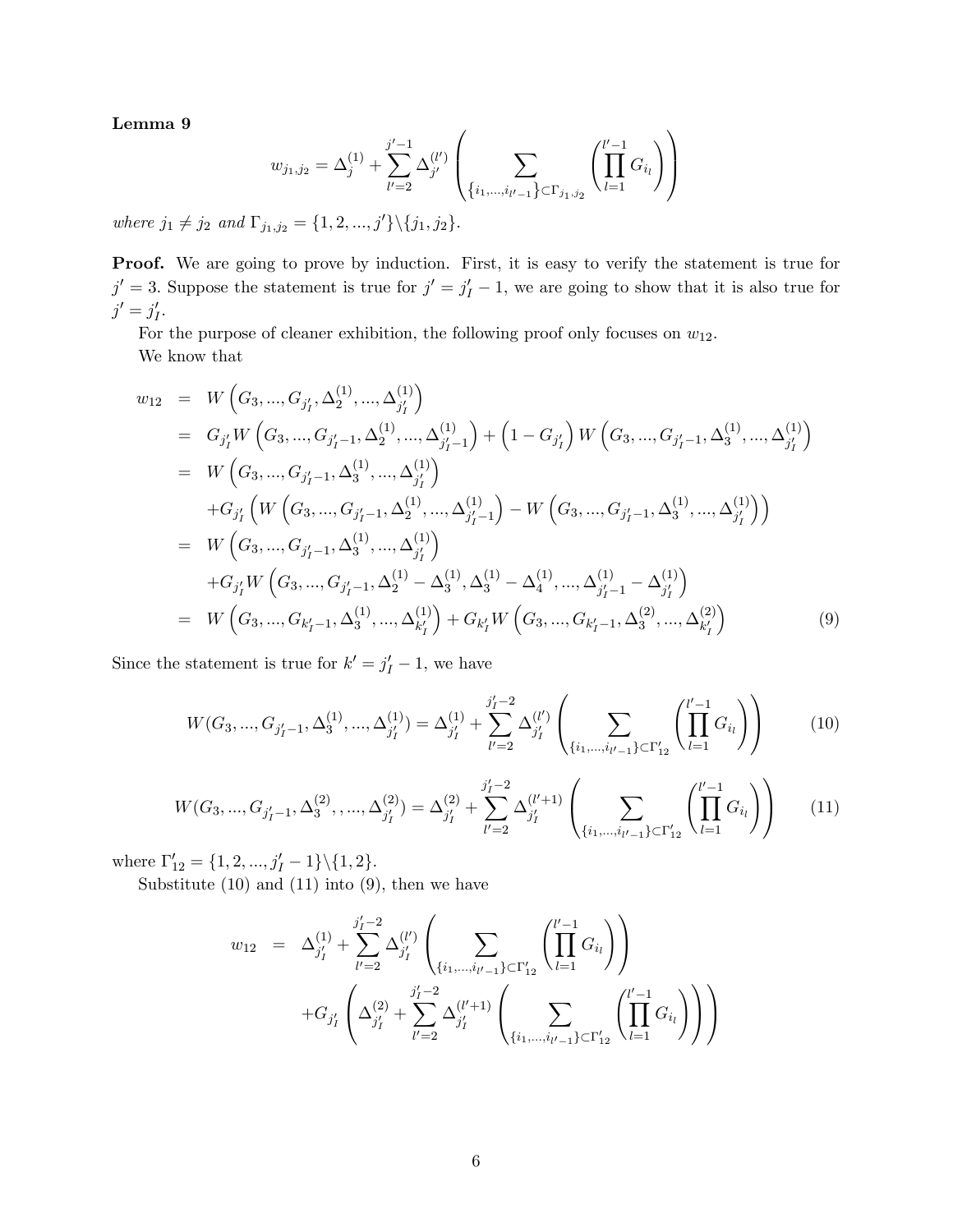Lemma 9

$$
w_{j_1,j_2} = \Delta_j^{(1)} + \sum_{l'=2}^{j'-1} \Delta_{j'}^{(l')} \left( \sum_{\{i_1,\dots,i_{l'-1}\} \subset \Gamma_{j_1,j_2}} \left( \prod_{l=1}^{l'-1} G_{i_l} \right) \right)
$$

where  $j_1 \neq j_2$  and  $\Gamma_{j_1,j_2} = \{1, 2, ..., j'\} \setminus \{j_1, j_2\}.$ 

Proof. We are going to prove by induction. First, it is easy to verify the statement is true for  $j' = 3$ . Suppose the statement is true for  $j' = j'_I - 1$ , we are going to show that it is also true for  $j' = j'_I.$ 

For the purpose of cleaner exhibition, the following proof only focuses on  $w_{12}$ . We know that

$$
w_{12} = W\left(G_3, ..., G_{j'_1}, \Delta_2^{(1)}, ..., \Delta_{j'_1}^{(1)}\right)
$$
  
\n
$$
= G_{j'_1} W\left(G_3, ..., G_{j'_1-1}, \Delta_2^{(1)}, ..., \Delta_{j'_1-1}^{(1)}\right) + \left(1 - G_{j'_1}\right) W\left(G_3, ..., G_{j'_1-1}, \Delta_3^{(1)}, ..., \Delta_{j'_1}^{(1)}\right)
$$
  
\n
$$
= W\left(G_3, ..., G_{j'_1-1}, \Delta_3^{(1)}, ..., \Delta_{j'_1}^{(1)}\right)
$$
  
\n
$$
+ G_{j'_1} \left(W\left(G_3, ..., G_{j'_1-1}, \Delta_2^{(1)}, ..., \Delta_{j'_1-1}^{(1)}\right) - W\left(G_3, ..., G_{j'_1-1}, \Delta_3^{(1)}, ..., \Delta_{j'_1}^{(1)}\right)\right)
$$
  
\n
$$
= W\left(G_3, ..., G_{j'_1-1}, \Delta_3^{(1)}, ..., \Delta_{j'_1}^{(1)}\right)
$$
  
\n
$$
+ G_{j'_1} W\left(G_3, ..., G_{j'_1-1}, \Delta_2^{(1)} - \Delta_3^{(1)}, \Delta_3^{(1)} - \Delta_4^{(1)}, ..., \Delta_{j'_1-1}^{(1)} - \Delta_{j'_1}^{(1)}\right)
$$
  
\n
$$
= W\left(G_3, ..., G_{k'_1-1}, \Delta_3^{(1)}, ..., \Delta_{k'_1}^{(1)}\right) + G_{k'_1} W\left(G_3, ..., G_{k'_1-1}, \Delta_3^{(2)}, ..., \Delta_{k'_1}^{(2)}\right)
$$
  
\n(9)

Since the statement is true for  $k' = j'_I - 1$ , we have

$$
W(G_3, ..., G_{j'_I-1}, \Delta_3^{(1)}, ..., \Delta_{j'_I}^{(1)}) = \Delta_{j'_I}^{(1)} + \sum_{l'=2}^{j'_I-2} \Delta_{j'_I}^{(l')} \left( \sum_{\{i_1, ..., i_{l'-1}\} \subset \Gamma'_{12}} \left( \prod_{l=1}^{l'-1} G_{i_l} \right) \right)
$$
(10)

$$
W(G_3, ..., G_{j'_I-1}, \Delta_3^{(2)}, ..., \Delta_{j'_I}^{(2)}) = \Delta_{j'_I}^{(2)} + \sum_{l'=2}^{j'_I-2} \Delta_{j'_I}^{(l'+1)} \left( \sum_{\{i_1, ..., i_{l'-1}\} \subset \Gamma'_{12}} \left( \prod_{l=1}^{l'-1} G_{i_l} \right) \right)
$$
(11)

where  $\Gamma'_{12} = \{1, 2, ..., j'_{I} - 1\} \setminus \{1, 2\}.$ 

Substitute  $(10)$  and  $(11)$  into  $(9)$ , then we have

$$
w_{12} = \Delta_{j'_I}^{(1)} + \sum_{l'=2}^{j'_I-2} \Delta_{j'_I}^{(l')} \left( \sum_{\{i_1,\dots,i_{l'-1}\} \subset \Gamma'_{12}} \left( \prod_{l=1}^{l'-1} G_{i_l} \right) \right) + G_{j'_I} \left( \Delta_{j'_I}^{(2)} + \sum_{l'=2}^{j'_I-2} \Delta_{j'_I}^{(l'+1)} \left( \sum_{\{i_1,\dots,i_{l'-1}\} \subset \Gamma'_{12}} \left( \prod_{l=1}^{l'-1} G_{i_l} \right) \right) \right)
$$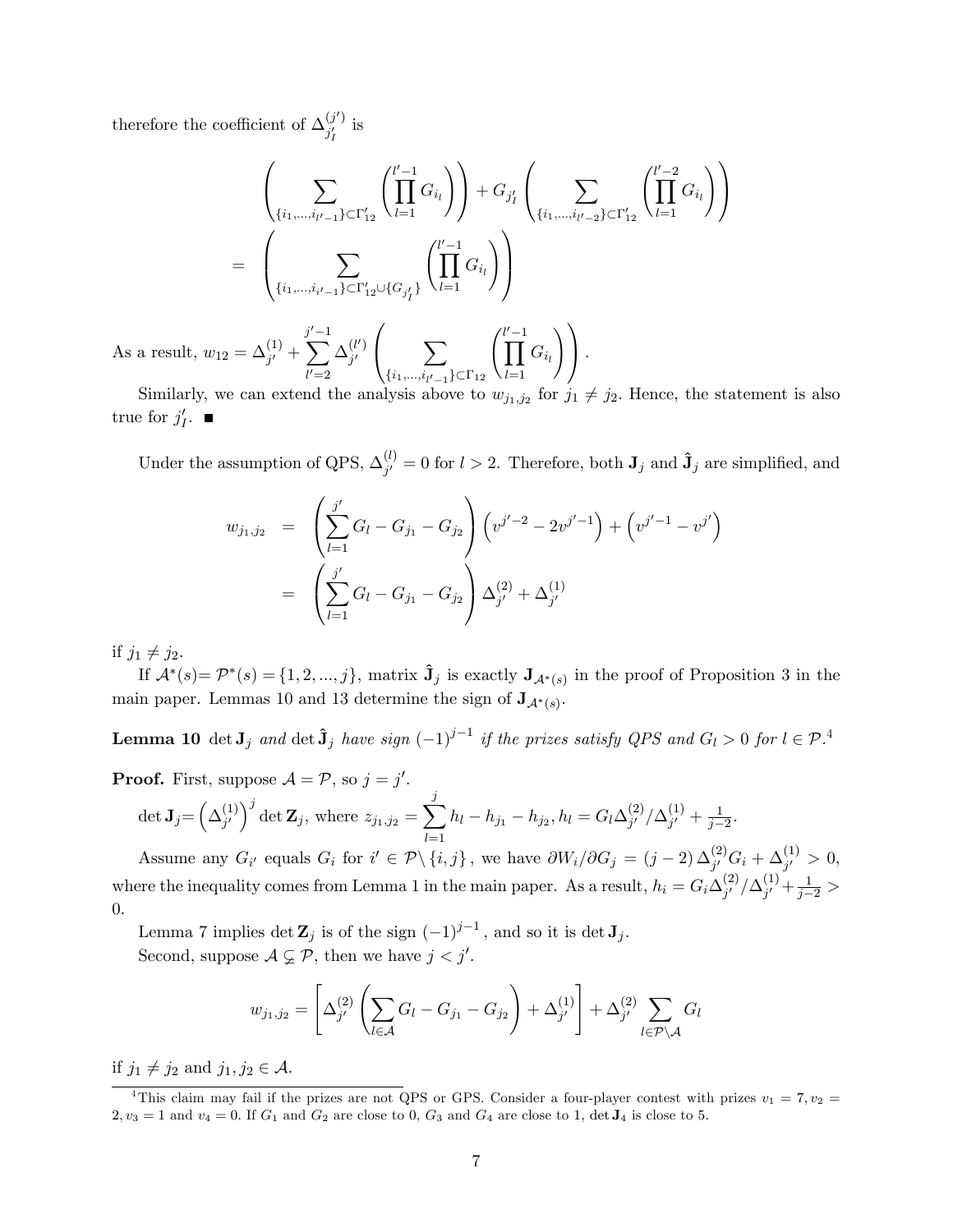therefore the coefficient of  $\Delta_{i'}^{(j')}$  $j'_I$  is

$$
\left(\sum_{\{i_1,\dots,i_{l'-1}\}\subset\Gamma'_{12}}\binom{l'-1}{\prod G_{i_l}}G_{i_l}\right)+G_{j'_I}\left(\sum_{\{i_1,\dots,i_{l'-2}\}\subset\Gamma'_{12}}\binom{l'-2}{\prod G_{i_l}}G_{i_l}\right)
$$
\n
$$
=\left(\sum_{\{i_1,\dots,i_{i'-1}\}\subset\Gamma'_{12}\cup\{G_{j'_I}\}}\binom{l'-1}{\prod G_{i_l}}G_{i_l}\right)
$$
\nAs a result,  $w_{12} = \Delta_{j'}^{(1)} + \sum_{l'=2}^{j'-1} \Delta_{j'}^{(l')} \left(\sum_{\{i_1,\dots,i_{l'-1}\}\subset\Gamma_{12}}\binom{l'-1}{\prod_{l=1}^{l'-1}G_{i_l}}\right).$ 

Similarly, we can extend the analysis above to  $w_{j_1,j_2}$  for  $j_1 \neq j_2$ . Hence, the statement is also true for  $j'_I$ .

Under the assumption of QPS,  $\Delta_{i'}^{(l)}$  $j_j^{(l)} = 0$  for  $l > 2$ . Therefore, both  $J_j$  and  $\hat{J}_j$  are simplified, and

$$
w_{j_1,j_2} = \left(\sum_{l=1}^{j'} G_l - G_{j_1} - G_{j_2}\right) \left(v^{j'-2} - 2v^{j'-1}\right) + \left(v^{j'-1} - v^{j'}\right)
$$
  
= 
$$
\left(\sum_{l=1}^{j'} G_l - G_{j_1} - G_{j_2}\right) \Delta_{j'}^{(2)} + \Delta_{j'}^{(1)}
$$

if  $j_1 \neq j_2$ .

If  $\mathcal{A}^*(s) = \mathcal{P}^*(s) = \{1, 2, ..., j\}$ , matrix  $\hat{\mathbf{J}}_j$  is exactly  $\mathbf{J}_{\mathcal{A}^*(s)}$  in the proof of Proposition 3 in the main paper. Lemmas 10 and 13 determine the sign of  $J_{A^*(s)}$ .

**Lemma 10** det  $J_j$  and det  $\hat{J}_j$  have sign  $(-1)^{j-1}$  if the prizes satisfy QPS and  $G_l > 0$  for  $l \in \mathcal{P}$ .<sup>4</sup>

**Proof.** First, suppose 
$$
A = P
$$
, so  $j = j'$ .  
\n
$$
\det \mathbf{J}_j = \left(\Delta_{j'}^{(1)}\right)^j \det \mathbf{Z}_j, \text{ where } z_{j_1, j_2} = \sum_{l=1}^j h_l - h_{j_1} - h_{j_2}, h_l = G_l \Delta_{j'}^{(2)} / \Delta_{j'}^{(1)} + \frac{1}{j-2}.
$$

Assume any  $G_{i'}$  equals  $G_i$  for  $i' \in \mathcal{P} \setminus \{i, j\}$ , we have  $\partial W_i/\partial G_j = (j-2) \Delta_{j'}^{(2)} G_i + \Delta_{j'}^{(1)} > 0$ , where the inequality comes from Lemma 1 in the main paper. As a result,  $h_i = G_i \Delta_{i'}^{(2)}$  $_{j'}^{(2)}/\Delta_{j'}^{(1)}$  $j' + \frac{1}{j-2} >$ 0:

Lemma 7 implies  $\det \mathbf{Z}_j$  is of the sign  $(-1)^{j-1}$ , and so it is  $\det \mathbf{J}_j$ . Second, suppose  $A \subsetneq P$ , then we have  $j < j'$ .

$$
w_{j_1,j_2} = \left[\Delta_{j'}^{(2)} \left( \sum_{l \in \mathcal{A}} G_l - G_{j_1} - G_{j_2} \right) + \Delta_{j'}^{(1)} \right] + \Delta_{j'}^{(2)} \sum_{l \in \mathcal{P} \setminus \mathcal{A}} G_l
$$

if  $j_1 \neq j_2$  and  $j_1, j_2 \in \mathcal{A}$ .

<sup>&</sup>lt;sup>4</sup>This claim may fail if the prizes are not QPS or GPS. Consider a four-player contest with prizes  $v_1 = 7, v_2 =$  $2, v_3 = 1$  and  $v_4 = 0$ . If  $G_1$  and  $G_2$  are close to 0,  $G_3$  and  $G_4$  are close to 1, det  $J_4$  is close to 5.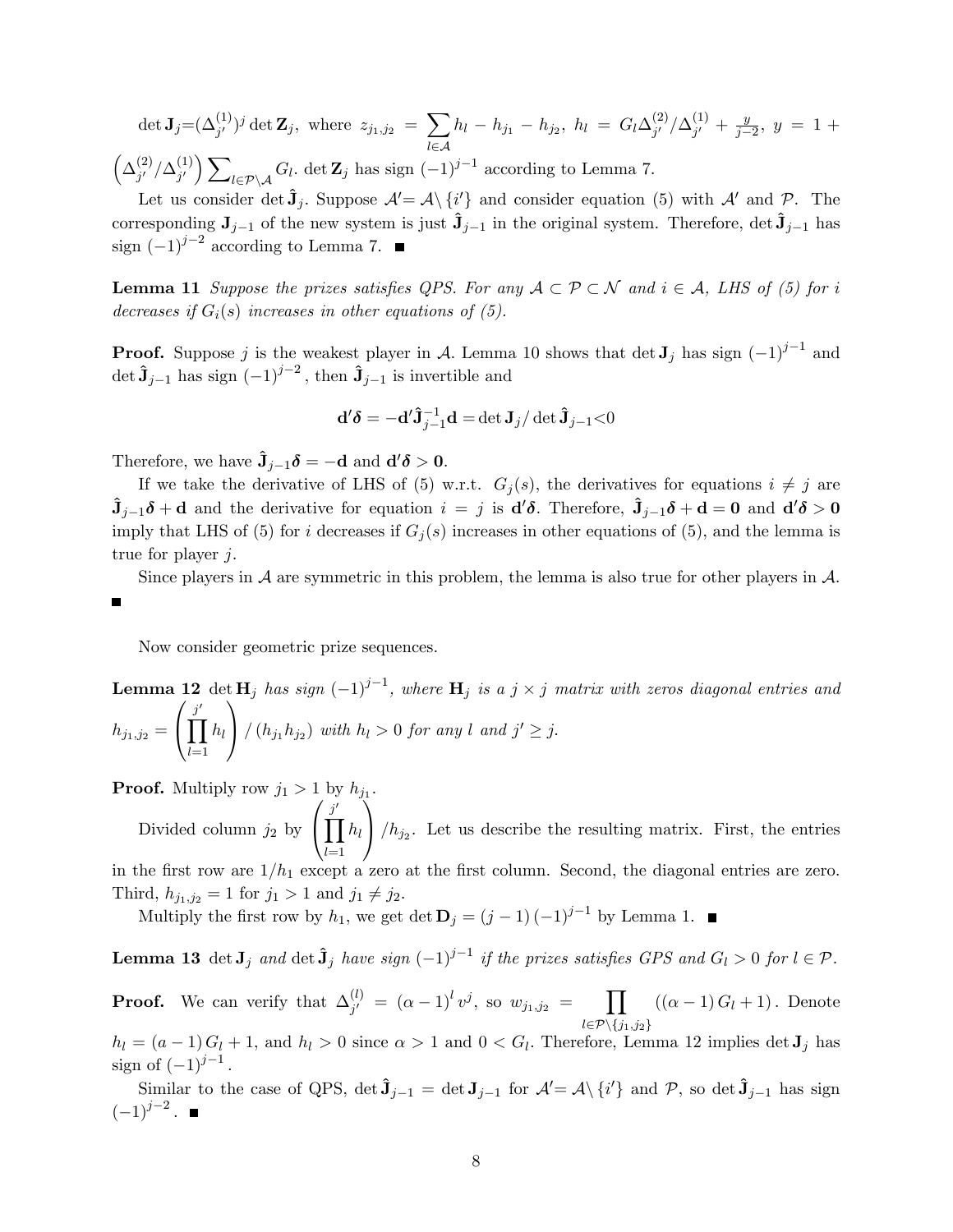$\det \mathbf{J}_{j} = (\Delta_{j'}^{(1)})^{j} \det \mathbf{Z}_{j}, \,\, \text{where} \,\, \, z_{j_1, j_2} \,\, = \,\, \sum \,$  $l\in\mathcal{A}$  $h_l - h_{j_1} - h_{j_2}, h_l = G_l \Delta_{j'}^{(2)}$  $_{j'}^{(2)}/\Delta_{j'}^{(1)}$  $j' + \frac{y}{j-1}$  $\frac{y}{j-2}, y = 1 +$  $\left(\Delta_{i'}^{(2)}\right)$  $_{j'}^{(2)}/\Delta_{j'}^{(1)}$  $j^{\left(1\right)}$   $\sum$  $l \in \mathcal{P} \setminus \mathcal{A}$   $G_l$ . det  $\mathbf{Z}_j$  has sign  $(-1)^{j-1}$  according to Lemma 7.

Let us consider det  $\hat{\mathbf{J}}_j$ . Suppose  $\mathcal{A}' = \mathcal{A} \setminus \{i'\}$  and consider equation (5) with  $\mathcal{A}'$  and  $\mathcal{P}$ . The corresponding  $J_{j-1}$  of the new system is just  $\hat{J}_{j-1}$  in the original system. Therefore, det  $\hat{J}_{j-1}$  has sign  $(-1)^{j-2}$  according to Lemma 7.

**Lemma 11** Suppose the prizes satisfies QPS. For any  $A \subset \mathcal{P} \subset \mathcal{N}$  and  $i \in \mathcal{A}$ , LHS of (5) for i decreases if  $G_i(s)$  increases in other equations of (5).

**Proof.** Suppose j is the weakest player in A. Lemma 10 shows that  $\det J_j$  has sign  $(-1)^{j-1}$  and det  $\hat{\mathbf{J}}_{j-1}$  has sign  $(-1)^{j-2}$ , then  $\hat{\mathbf{J}}_{j-1}$  is invertible and

$$
\mathbf{d}'\boldsymbol{\delta} = -\mathbf{d}'\hat{\mathbf{J}}_{j-1}^{-1}\mathbf{d} = \det \mathbf{J}_j/\det \hat{\mathbf{J}}_{j-1} < 0
$$

Therefore, we have  $\hat{\mathbf{J}}_{j-1} \boldsymbol{\delta} = -\mathbf{d}$  and  $\mathbf{d}' \boldsymbol{\delta} > 0$ .

If we take the derivative of LHS of (5) w.r.t.  $G_j(s)$ , the derivatives for equations  $i \neq j$  are  $\hat{\mathbf{J}}_{j-1}\boldsymbol{\delta} + \mathbf{d}$  and the derivative for equation  $i = j$  is  $\mathbf{d}'\boldsymbol{\delta}$ . Therefore,  $\hat{\mathbf{J}}_{j-1}\boldsymbol{\delta} + \mathbf{d} = \mathbf{0}$  and  $\mathbf{d}'\boldsymbol{\delta} > \mathbf{0}$ imply that LHS of (5) for i decreases if  $G_i(s)$  increases in other equations of (5), and the lemma is true for player j.

Since players in  $\mathcal A$  are symmetric in this problem, the lemma is also true for other players in  $\mathcal A$ . п

Now consider geometric prize sequences.

**Lemma 12** det  $H_j$  has sign  $(-1)^{j-1}$ , where  $H_j$  is a  $j \times j$  matrix with zeros diagonal entries and  $h_{j_1,j_2} =$  $\sqrt{ }$  $\mathbf{I}$  $\prod^{j'}$  $_{l=1}$  $h_l$ 1  $\int (h_{j_1} h_{j_2}) \text{ with } h_l > 0 \text{ for any } l \text{ and } j' \geq j.$ 

**Proof.** Multiply row  $j_1 > 1$  by  $h_{j_1}$ .  $\sqrt{ }$  $\tilde{\setminus}$ 

Divided column  $j_2$  by  $\mathbf{I}$  $\frac{j'}{\prod}$  $_{l=1}$  $h_l$  $\int/h_{j_2}$ . Let us describe the resulting matrix. First, the entries in the first row are  $1/h_1$  except a zero at the first column. Second, the diagonal entries are zero. Third,  $h_{j_1,j_2} = 1$  for  $j_1 > 1$  and  $j_1 \neq j_2$ .

Multiply the first row by  $h_1$ , we get  $\det \mathbf{D}_j = (j-1)(-1)^{j-1}$  by Lemma 1.

**Lemma 13** det  $J_j$  and det  $\hat{J}_j$  have sign  $(-1)^{j-1}$  if the prizes satisfies GPS and  $G_l > 0$  for  $l \in \mathcal{P}$ .

**Proof.** We can verify that  $\Delta_{i'}^{(l)}$  $j' = (\alpha - 1)^l v^j$ , so  $w_{j_1, j_2} = \prod$  $l{\in}\mathcal{P}\backslash\{j_1,j_2\}$  $((\alpha - 1) G_l + 1)$ . Denote

 $h_l = (a-1)G_l + 1$ , and  $h_l > 0$  since  $\alpha > 1$  and  $0 < G_l$ . Therefore, Lemma 12 implies det  $J_j$  has sign of  $(-1)^{j-1}$ .

Similar to the case of QPS,  $\det \hat{\mathbf{J}}_{j-1} = \det \mathbf{J}_{j-1}$  for  $\mathcal{A}' = \mathcal{A} \setminus \{i'\}$  and P, so  $\det \hat{\mathbf{J}}_{j-1}$  has sign  $(-1)^{j-2}$ .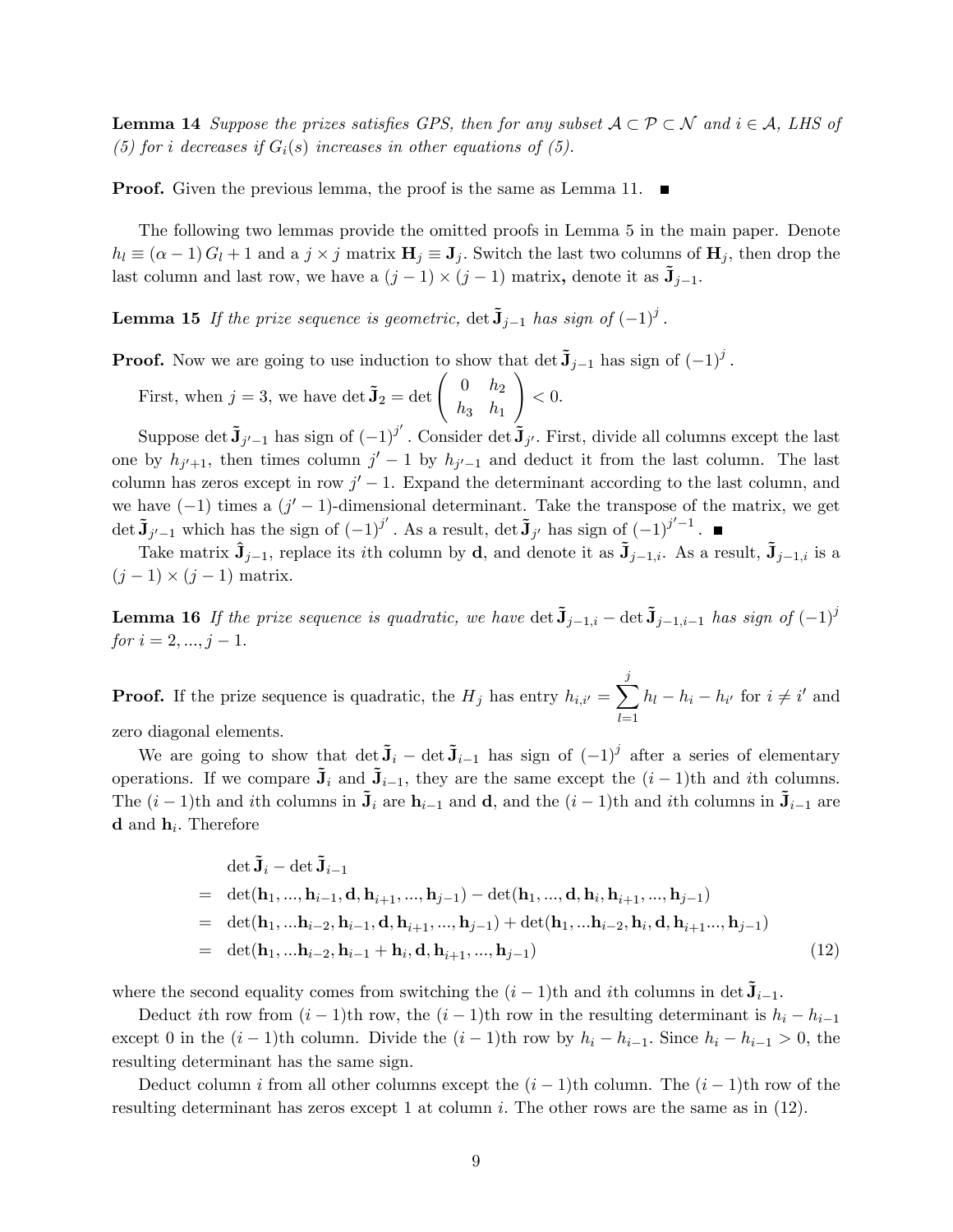**Lemma 14** Suppose the prizes satisfies GPS, then for any subset  $A \subset \mathcal{P} \subset \mathcal{N}$  and  $i \in \mathcal{A}$ , LHS of (5) for i decreases if  $G_i(s)$  increases in other equations of (5).

**Proof.** Given the previous lemma, the proof is the same as Lemma 11.  $\blacksquare$ 

The following two lemmas provide the omitted proofs in Lemma 5 in the main paper. Denote  $h_l \equiv (\alpha - 1) G_l + 1$  and a  $j \times j$  matrix  $H_j \equiv J_j$ . Switch the last two columns of  $H_j$ , then drop the last column and last row, we have a  $(j-1) \times (j-1)$  matrix, denote it as  $\tilde{\mathbf{J}}_{j-1}$ .

**Lemma 15** If the prize sequence is geometric,  $\det \tilde{\mathbf{J}}_{j-1}$  has sign of  $(-1)^j$ .

**Proof.** Now we are going to use induction to show that  $\det \tilde{J}_{j-1}$  has sign of  $(-1)^j$ .

First, when  $j = 3$ , we have  $\det \tilde{\mathbf{J}}_2 = \det \begin{pmatrix} 0 & h_2 \\ h & h_1 \end{pmatrix}$  $h_3$   $h_1$  $\setminus$  $< 0.$ 

Suppose det  $\tilde{\mathbf{J}}_{j'-1}$  has sign of  $(-1)^{j'}$ . Consider det  $\tilde{\mathbf{J}}_{j'}$ . First, divide all columns except the last one by  $h_{j'+1}$ , then times column  $j'-1$  by  $h_{j'-1}$  and deduct it from the last column. The last column has zeros except in row  $j' - 1$ . Expand the determinant according to the last column, and we have  $(-1)$  times a  $(j'-1)$ -dimensional determinant. Take the transpose of the matrix, we get det  $\tilde{\mathbf{J}}_{j'-1}$  which has the sign of  $(-1)^{j'}$ . As a result, det  $\tilde{\mathbf{J}}_{j'}$  has sign of  $(-1)^{j'-1}$ .

Take matrix  $\hat{\mathbf{J}}_{j-1}$ , replace its *i*th column by d, and denote it as  $\tilde{\mathbf{J}}_{j-1,i}$ . As a result,  $\tilde{\mathbf{J}}_{j-1,i}$  is a  $(j-1) \times (j-1)$  matrix.

**Lemma 16** If the prize sequence is quadratic, we have det  $\tilde{\mathbf{J}}_{j-1,i}$  det  $\tilde{\mathbf{J}}_{j-1,i-1}$  has sign of  $(-1)^{j}$ for  $i = 2, ..., j - 1$ .

**Proof.** If the prize sequence is quadratic, the  $H_j$  has entry  $h_{i,i'} = \sum_{j=1}^{j}$  $_{l=1}$  $h_l - h_i - h_{i'}$  for  $i \neq i'$  and

zero diagonal elements.

We are going to show that  $\det \mathbf{\tilde{J}}_i - \det \mathbf{\tilde{J}}_{i-1}$  has sign of  $(-1)^j$  after a series of elementary operations. If we compare  $\tilde{\mathbf{J}}_i$  and  $\tilde{\mathbf{J}}_{i-1}$ , they are the same except the  $(i - 1)$ th and ith columns. The  $(i - 1)$ th and ith columns in  $\tilde{\mathbf{J}}_i$  are  $\mathbf{h}_{i-1}$  and  $\mathbf{d}$ , and the  $(i - 1)$ th and ith columns in  $\tilde{\mathbf{J}}_{i-1}$  are **d** and  $\mathbf{h}_i$ . Therefore

$$
\det \tilde{\mathbf{J}}_i - \det \tilde{\mathbf{J}}_{i-1} \n= \det(\mathbf{h}_1, ..., \mathbf{h}_{i-1}, \mathbf{d}, \mathbf{h}_{i+1}, ..., \mathbf{h}_{j-1}) - \det(\mathbf{h}_1, ..., \mathbf{d}, \mathbf{h}_i, \mathbf{h}_{i+1}, ..., \mathbf{h}_{j-1}) \n= \det(\mathbf{h}_1, ..., \mathbf{h}_{i-2}, \mathbf{h}_{i-1}, \mathbf{d}, \mathbf{h}_{i+1}, ..., \mathbf{h}_{j-1}) + \det(\mathbf{h}_1, ..., \mathbf{h}_{i-2}, \mathbf{h}_i, \mathbf{d}, \mathbf{h}_{i+1}, ..., \mathbf{h}_{j-1}) \n= \det(\mathbf{h}_1, ..., \mathbf{h}_{i-2}, \mathbf{h}_{i-1} + \mathbf{h}_i, \mathbf{d}, \mathbf{h}_{i+1}, ..., \mathbf{h}_{j-1})
$$
\n(12)

where the second equality comes from switching the  $(i - 1)$ th and *i*th columns in det  $\tilde{\mathbf{J}}_{i-1}$ .

Deduct ith row from  $(i - 1)$ th row, the  $(i - 1)$ th row in the resulting determinant is  $h_i - h_{i-1}$ except 0 in the  $(i - 1)$ th column. Divide the  $(i - 1)$ th row by  $h_i - h_{i-1}$ . Since  $h_i - h_{i-1} > 0$ , the resulting determinant has the same sign.

Deduct column i from all other columns except the  $(i-1)$ th column. The  $(i-1)$ th row of the resulting determinant has zeros except 1 at column i. The other rows are the same as in  $(12)$ .